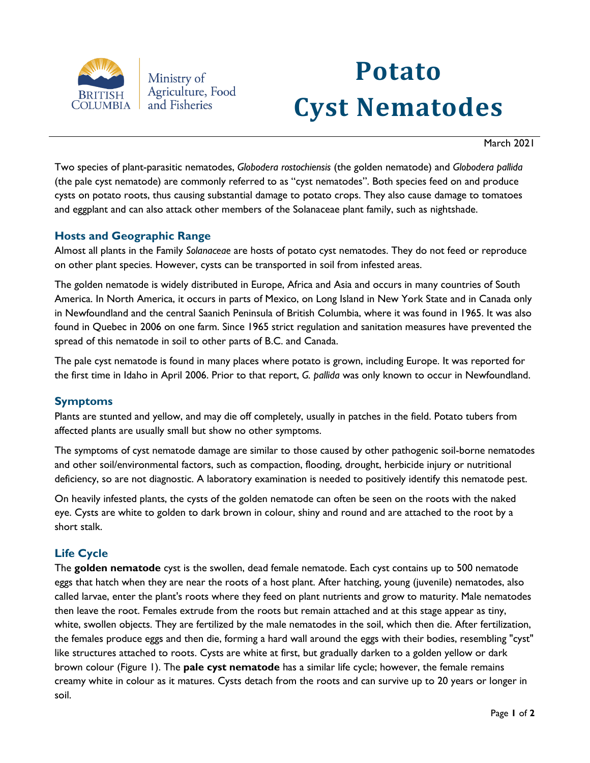

Ministry of Agriculture, Food and Fisheries

# **Potato Cyst Nematodes**

March 2021

Two species of plant-parasitic nematodes, *Globodera rostochiensis* (the golden nematode) and *Globodera pallida* (the pale cyst nematode) are commonly referred to as "cyst nematodes". Both species feed on and produce cysts on potato roots, thus causing substantial damage to potato crops. They also cause damage to tomatoes and eggplant and can also attack other members of the Solanaceae plant family, such as nightshade.

## **Hosts and Geographic Range**

Almost all plants in the Family *Solanaceae* are hosts of potato cyst nematodes. They do not feed or reproduce on other plant species. However, cysts can be transported in soil from infested areas.

The golden nematode is widely distributed in Europe, Africa and Asia and occurs in many countries of South America. In North America, it occurs in parts of Mexico, on Long Island in New York State and in Canada only in Newfoundland and the central Saanich Peninsula of British Columbia, where it was found in 1965. It was also found in Quebec in 2006 on one farm. Since 1965 strict regulation and sanitation measures have prevented the spread of this nematode in soil to other parts of B.C. and Canada.

The pale cyst nematode is found in many places where potato is grown, including Europe. It was reported for the first time in Idaho in April 2006. Prior to that report, *G. pallida* was only known to occur in Newfoundland.

## **Symptoms**

Plants are stunted and yellow, and may die off completely, usually in patches in the field. Potato tubers from affected plants are usually small but show no other symptoms.

The symptoms of cyst nematode damage are similar to those caused by other pathogenic soil-borne nematodes and other soil/environmental factors, such as compaction, flooding, drought, herbicide injury or nutritional deficiency, so are not diagnostic. A laboratory examination is needed to positively identify this nematode pest.

On heavily infested plants, the cysts of the golden nematode can often be seen on the roots with the naked eye. Cysts are white to golden to dark brown in colour, shiny and round and are attached to the root by a short stalk.

## **Life Cycle**

The **golden nematode** cyst is the swollen, dead female nematode. Each cyst contains up to 500 nematode eggs that hatch when they are near the roots of a host plant. After hatching, young (juvenile) nematodes, also called larvae, enter the plant's roots where they feed on plant nutrients and grow to maturity. Male nematodes then leave the root. Females extrude from the roots but remain attached and at this stage appear as tiny, white, swollen objects. They are fertilized by the male nematodes in the soil, which then die. After fertilization, the females produce eggs and then die, forming a hard wall around the eggs with their bodies, resembling "cyst" like structures attached to roots. Cysts are white at first, but gradually darken to a golden yellow or dark brown colour (Figure 1). The **pale cyst nematode** has a similar life cycle; however, the female remains creamy white in colour as it matures. Cysts detach from the roots and can survive up to 20 years or longer in soil.